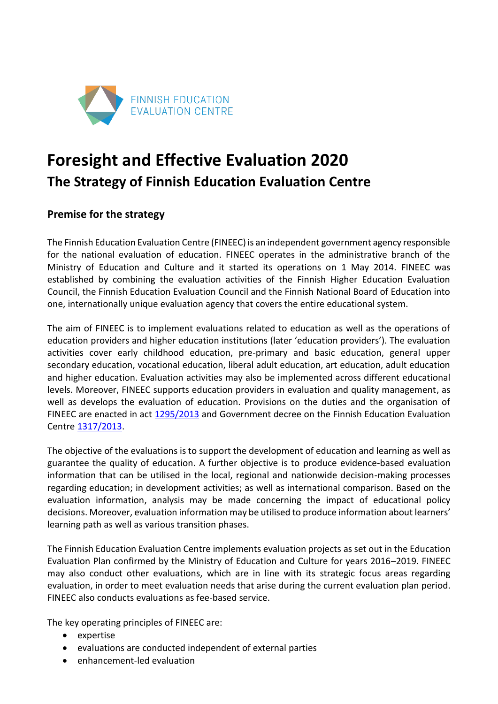

# **Foresight and Effective Evaluation 2020 The Strategy of Finnish Education Evaluation Centre**

# **Premise for the strategy**

The Finnish Education Evaluation Centre (FINEEC) is an independent government agency responsible for the national evaluation of education. FINEEC operates in the administrative branch of the Ministry of Education and Culture and it started its operations on 1 May 2014. FINEEC was established by combining the evaluation activities of the Finnish Higher Education Evaluation Council, the Finnish Education Evaluation Council and the Finnish National Board of Education into one, internationally unique evaluation agency that covers the entire educational system.

The aim of FINEEC is to implement evaluations related to education as well as the operations of education providers and higher education institutions (later 'education providers'). The evaluation activities cover early childhood education, pre-primary and basic education, general upper secondary education, vocational education, liberal adult education, art education, adult education and higher education. Evaluation activities may also be implemented across different educational levels. Moreover, FINEEC supports education providers in evaluation and quality management, as well as develops the evaluation of education. Provisions on the duties and the organisation of FINEEC are enacted in act [1295/2013](http://www.finlex.fi/fi/laki/kokoelma/2013/sk20131295.pdf) and Government decree on the Finnish Education Evaluation Centre [1317/2013.](http://www.finlex.fi/fi/laki/kokoelma/2013/sk20131317.pdf)

The objective of the evaluations is to support the development of education and learning as well as guarantee the quality of education. A further objective is to produce evidence-based evaluation information that can be utilised in the local, regional and nationwide decision-making processes regarding education; in development activities; as well as international comparison. Based on the evaluation information, analysis may be made concerning the impact of educational policy decisions. Moreover, evaluation information may be utilised to produce information about learners' learning path as well as various transition phases.

The Finnish Education Evaluation Centre implements evaluation projects as set out in the Education Evaluation Plan confirmed by the Ministry of Education and Culture for years 2016–2019. FINEEC may also conduct other evaluations, which are in line with its strategic focus areas regarding evaluation, in order to meet evaluation needs that arise during the current evaluation plan period. FINEEC also conducts evaluations as fee-based service.

The key operating principles of FINEEC are:

- expertise
- evaluations are conducted independent of external parties
- enhancement-led evaluation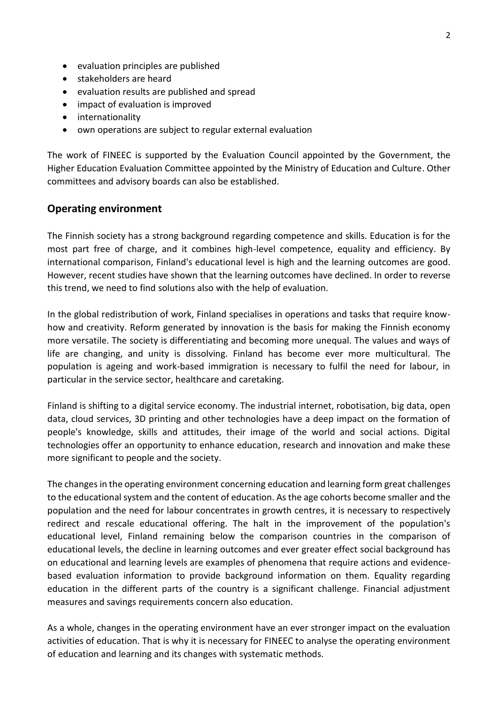- evaluation principles are published
- stakeholders are heard
- evaluation results are published and spread
- impact of evaluation is improved
- internationality
- own operations are subject to regular external evaluation

The work of FINEEC is supported by the Evaluation Council appointed by the Government, the Higher Education Evaluation Committee appointed by the Ministry of Education and Culture. Other committees and advisory boards can also be established.

#### **Operating environment**

The Finnish society has a strong background regarding competence and skills. Education is for the most part free of charge, and it combines high-level competence, equality and efficiency. By international comparison, Finland's educational level is high and the learning outcomes are good. However, recent studies have shown that the learning outcomes have declined. In order to reverse this trend, we need to find solutions also with the help of evaluation.

In the global redistribution of work, Finland specialises in operations and tasks that require knowhow and creativity. Reform generated by innovation is the basis for making the Finnish economy more versatile. The society is differentiating and becoming more unequal. The values and ways of life are changing, and unity is dissolving. Finland has become ever more multicultural. The population is ageing and work-based immigration is necessary to fulfil the need for labour, in particular in the service sector, healthcare and caretaking.

Finland is shifting to a digital service economy. The industrial internet, robotisation, big data, open data, cloud services, 3D printing and other technologies have a deep impact on the formation of people's knowledge, skills and attitudes, their image of the world and social actions. Digital technologies offer an opportunity to enhance education, research and innovation and make these more significant to people and the society.

The changes in the operating environment concerning education and learning form great challenges to the educational system and the content of education. As the age cohorts become smaller and the population and the need for labour concentrates in growth centres, it is necessary to respectively redirect and rescale educational offering. The halt in the improvement of the population's educational level, Finland remaining below the comparison countries in the comparison of educational levels, the decline in learning outcomes and ever greater effect social background has on educational and learning levels are examples of phenomena that require actions and evidencebased evaluation information to provide background information on them. Equality regarding education in the different parts of the country is a significant challenge. Financial adjustment measures and savings requirements concern also education.

As a whole, changes in the operating environment have an ever stronger impact on the evaluation activities of education. That is why it is necessary for FINEEC to analyse the operating environment of education and learning and its changes with systematic methods.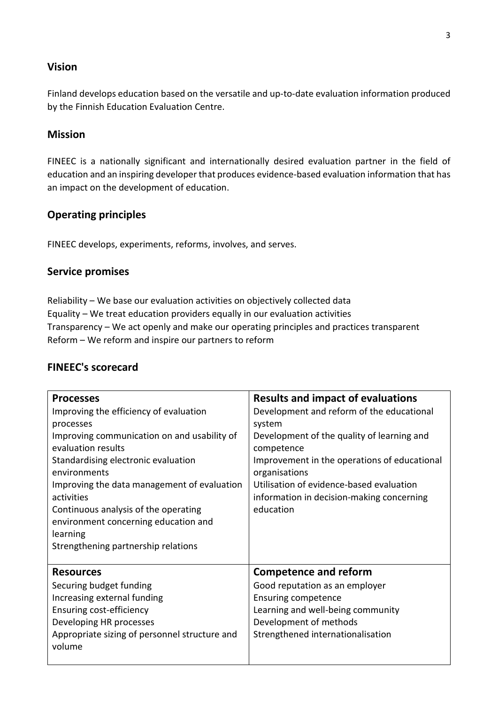## **Vision**

Finland develops education based on the versatile and up-to-date evaluation information produced by the Finnish Education Evaluation Centre.

## **Mission**

FINEEC is a nationally significant and internationally desired evaluation partner in the field of education and an inspiring developer that produces evidence-based evaluation information that has an impact on the development of education.

## **Operating principles**

FINEEC develops, experiments, reforms, involves, and serves.

#### **Service promises**

Reliability – We base our evaluation activities on objectively collected data Equality – We treat education providers equally in our evaluation activities Transparency – We act openly and make our operating principles and practices transparent Reform – We reform and inspire our partners to reform

## **FINEEC's scorecard**

| <b>Processes</b><br>Improving the efficiency of evaluation<br>processes<br>Improving communication on and usability of<br>evaluation results                                                 | <b>Results and impact of evaluations</b><br>Development and reform of the educational<br>system<br>Development of the quality of learning and<br>competence                                      |
|----------------------------------------------------------------------------------------------------------------------------------------------------------------------------------------------|--------------------------------------------------------------------------------------------------------------------------------------------------------------------------------------------------|
| Standardising electronic evaluation<br>environments<br>Improving the data management of evaluation<br>activities<br>Continuous analysis of the operating                                     | Improvement in the operations of educational<br>organisations<br>Utilisation of evidence-based evaluation<br>information in decision-making concerning<br>education                              |
| environment concerning education and<br>learning<br>Strengthening partnership relations                                                                                                      |                                                                                                                                                                                                  |
| <b>Resources</b><br>Securing budget funding<br>Increasing external funding<br>Ensuring cost-efficiency<br>Developing HR processes<br>Appropriate sizing of personnel structure and<br>volume | <b>Competence and reform</b><br>Good reputation as an employer<br><b>Ensuring competence</b><br>Learning and well-being community<br>Development of methods<br>Strengthened internationalisation |
|                                                                                                                                                                                              |                                                                                                                                                                                                  |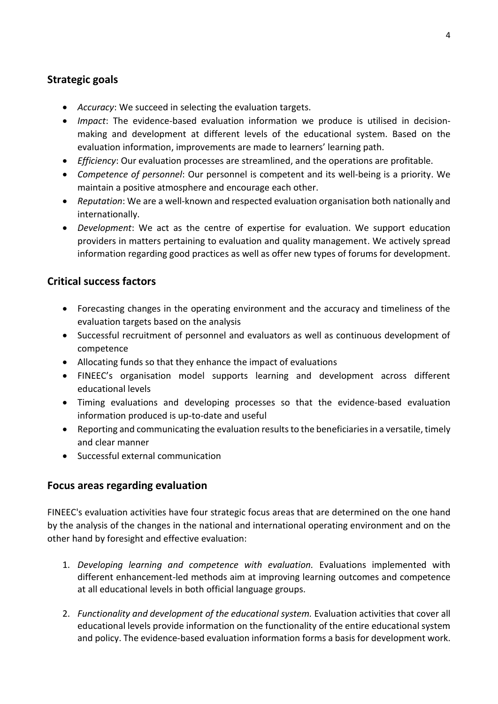# **Strategic goals**

- *Accuracy*: We succeed in selecting the evaluation targets.
- *Impact*: The evidence-based evaluation information we produce is utilised in decisionmaking and development at different levels of the educational system. Based on the evaluation information, improvements are made to learners' learning path.
- *Efficiency*: Our evaluation processes are streamlined, and the operations are profitable.
- *Competence of personnel*: Our personnel is competent and its well-being is a priority. We maintain a positive atmosphere and encourage each other.
- *Reputation*: We are a well-known and respected evaluation organisation both nationally and internationally.
- *Development*: We act as the centre of expertise for evaluation. We support education providers in matters pertaining to evaluation and quality management. We actively spread information regarding good practices as well as offer new types of forums for development.

# **Critical success factors**

- Forecasting changes in the operating environment and the accuracy and timeliness of the evaluation targets based on the analysis
- Successful recruitment of personnel and evaluators as well as continuous development of competence
- Allocating funds so that they enhance the impact of evaluations
- FINEEC's organisation model supports learning and development across different educational levels
- Timing evaluations and developing processes so that the evidence-based evaluation information produced is up-to-date and useful
- Reporting and communicating the evaluation results to the beneficiaries in a versatile, timely and clear manner
- Successful external communication

## **Focus areas regarding evaluation**

FINEEC's evaluation activities have four strategic focus areas that are determined on the one hand by the analysis of the changes in the national and international operating environment and on the other hand by foresight and effective evaluation:

- 1. *Developing learning and competence with evaluation.* Evaluations implemented with different enhancement-led methods aim at improving learning outcomes and competence at all educational levels in both official language groups.
- 2. *Functionality and development of the educational system.* Evaluation activities that cover all educational levels provide information on the functionality of the entire educational system and policy. The evidence-based evaluation information forms a basis for development work.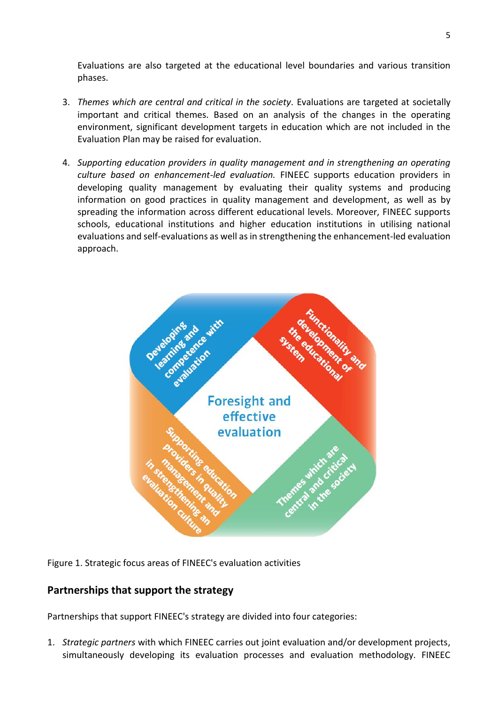Evaluations are also targeted at the educational level boundaries and various transition phases.

- 3. *Themes which are central and critical in the society.* Evaluations are targeted at societally important and critical themes. Based on an analysis of the changes in the operating environment, significant development targets in education which are not included in the Evaluation Plan may be raised for evaluation.
- 4. *Supporting education providers in quality management and in strengthening an operating culture based on enhancement-led evaluation.* FINEEC supports education providers in developing quality management by evaluating their quality systems and producing information on good practices in quality management and development, as well as by spreading the information across different educational levels. Moreover, FINEEC supports schools, educational institutions and higher education institutions in utilising national evaluations and self-evaluations as well as in strengthening the enhancement-led evaluation approach.



Figure 1. Strategic focus areas of FINEEC's evaluation activities

## **Partnerships that support the strategy**

Partnerships that support FINEEC's strategy are divided into four categories:

1. *Strategic partners* with which FINEEC carries out joint evaluation and/or development projects, simultaneously developing its evaluation processes and evaluation methodology. FINEEC